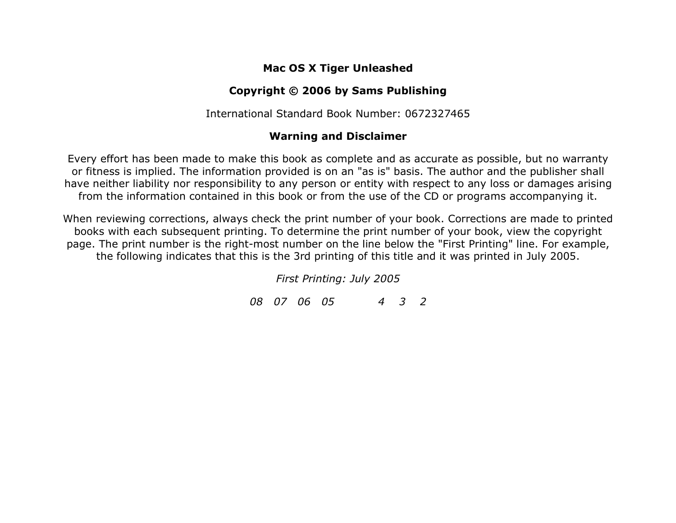## **Mac OS X Tiger Unleashed**

## **Copyright © 2006 by Sams Publishing**

International Standard Book Number: 0672327465

## **Warning and Disclaimer**

Every effort has been made to make this book as complete and as accurate as possible, but no warranty or fitness is implied. The information provided is on an "as is" basis. The author and the publisher shall have neither liability nor responsibility to any person or entity with respect to any loss or damages arising from the information contained in this book or from the use of the CD or programs accompanying it.

When reviewing corrections, always check the print number of your book. Corrections are made to printed books with each subsequent printing. To determine the print number of your book, view the copyright page. The print number is the right-most number on the line below the "First Printing" line. For example, the following indicates that this is the 3rd printing of this title and it was printed in July 2005.

*First Printing: July 2005*

*08 07 06 05 4 3 2*